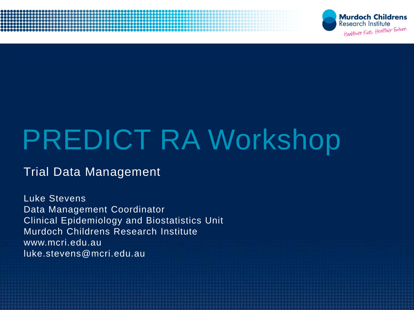



# PREDICT RA Workshop

#### Trial Data Management

Luke Stevens Data Management Coordinator Clinical Epidemiology and Biostatistics Unit Murdoch Childrens Research Institute www.mcri.edu.au luke.stevens@mcri.edu.au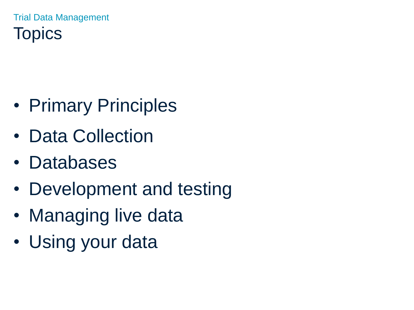Trial Data Management **Topics** 

- Primary Principles
- Data Collection
- Databases
- Development and testing
- Managing live data
- Using your data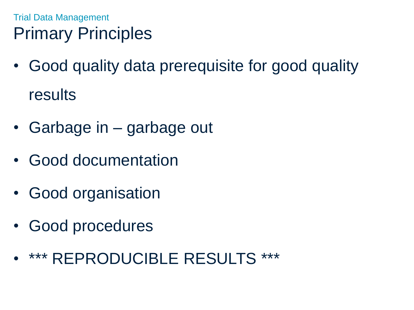## Trial Data Management Primary Principles

- Good quality data prerequisite for good quality results
- Garbage in garbage out
- Good documentation
- Good organisation
- Good procedures
- \*\*\* REPRODUCIBLE RESULTS \*\*\*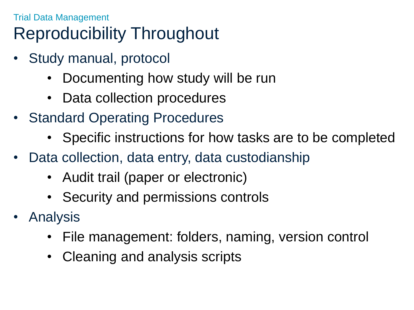## Trial Data Management Reproducibility Throughout

- Study manual, protocol
	- Documenting how study will be run
	- Data collection procedures
- Standard Operating Procedures
	- Specific instructions for how tasks are to be completed
- Data collection, data entry, data custodianship
	- Audit trail (paper or electronic)
	- Security and permissions controls
- **Analysis** 
	- File management: folders, naming, version control
	- Cleaning and analysis scripts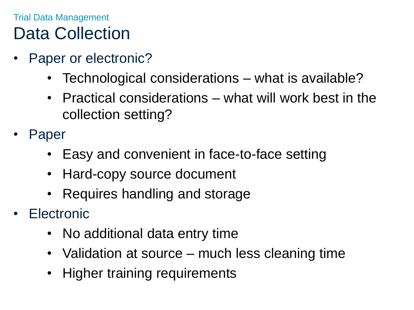## Trial Data Management Data Collection

- Paper or electronic?
	- Technological considerations what is available?
	- Practical considerations what will work best in the collection setting?
- **Paper** 
	- Easy and convenient in face-to-face setting
	- Hard-copy source document
	- Requires handling and storage
- **Electronic** 
	- No additional data entry time
	- Validation at source much less cleaning time
	- Higher training requirements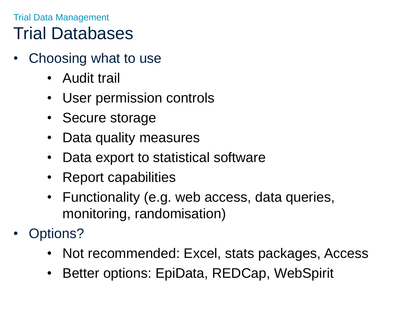## Trial Data Management Trial Databases

- Choosing what to use
	- Audit trail
	- User permission controls
	- Secure storage
	- Data quality measures
	- Data export to statistical software
	- Report capabilities
	- Functionality (e.g. web access, data queries, monitoring, randomisation)
- Options?
	- Not recommended: Excel, stats packages, Access
	- Better options: EpiData, REDCap, WebSpirit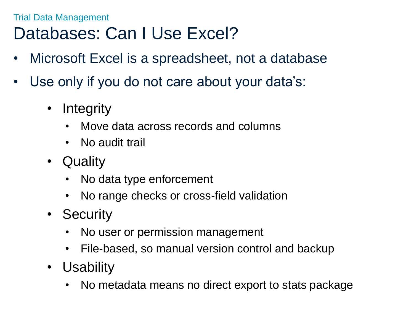### Trial Data Management Databases: Can I Use Excel?

- Microsoft Excel is a spreadsheet, not a database
- Use only if you do not care about your data's:
	- Integrity
		- Move data across records and columns
		- No audit trail
	- Quality
		- No data type enforcement
		- No range checks or cross-field validation
	- Security
		- No user or permission management
		- File-based, so manual version control and backup
	- Usability
		- No metadata means no direct export to stats package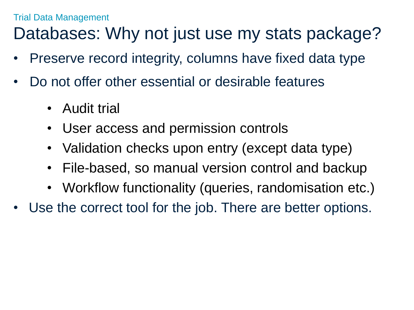## Databases: Why not just use my stats package?

- Preserve record integrity, columns have fixed data type
- Do not offer other essential or desirable features
	- Audit trial
	- User access and permission controls
	- Validation checks upon entry (except data type)
	- File-based, so manual version control and backup
	- Workflow functionality (queries, randomisation etc.)
- Use the correct tool for the job. There are better options.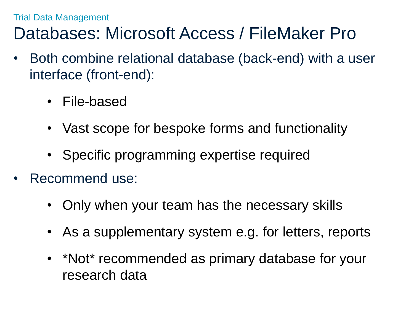### Trial Data Management Databases: Microsoft Access / FileMaker Pro

- Both combine relational database (back-end) with a user interface (front-end):
	- File-based
	- Vast scope for bespoke forms and functionality
	- Specific programming expertise required
- Recommend use:
	- Only when your team has the necessary skills
	- As a supplementary system e.g. for letters, reports
	- \*Not\* recommended as primary database for your research data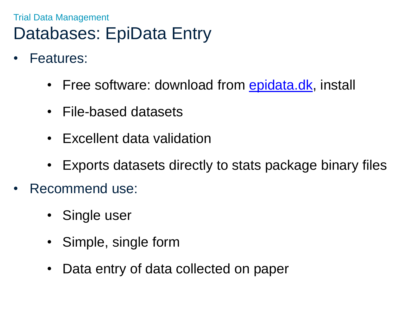### Trial Data Management Databases: EpiData Entry

- Features:
	- Free software: download from [epidata.dk,](http://epidata.dk/) install
	- File-based datasets
	- Excellent data validation
	- Exports datasets directly to stats package binary files
- Recommend use:
	- Single user
	- Simple, single form
	- Data entry of data collected on paper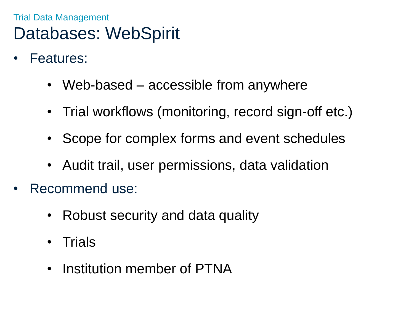### Trial Data Management Databases: WebSpirit

- Features:
	- Web-based accessible from anywhere
	- Trial workflows (monitoring, record sign-off etc.)
	- Scope for complex forms and event schedules
	- Audit trail, user permissions, data validation
- Recommend use:
	- Robust security and data quality
	- Trials
	- Institution member of PTNA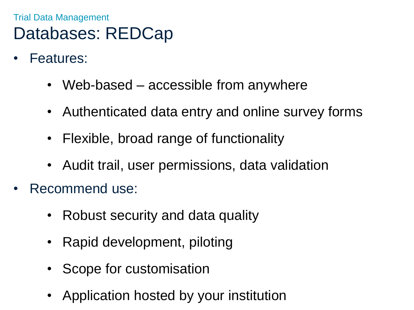### Trial Data Management Databases: REDCap

- Features:
	- Web-based accessible from anywhere
	- Authenticated data entry and online survey forms
	- Flexible, broad range of functionality
	- Audit trail, user permissions, data validation
- Recommend use:
	- Robust security and data quality
	- Rapid development, piloting
	- Scope for customisation
	- Application hosted by your institution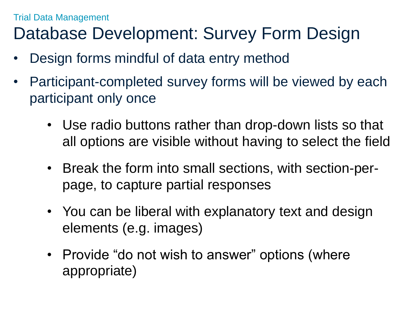### Trial Data Management Database Development: Survey Form Design

- Design forms mindful of data entry method
- Participant-completed survey forms will be viewed by each participant only once
	- Use radio buttons rather than drop-down lists so that all options are visible without having to select the field
	- Break the form into small sections, with section-perpage, to capture partial responses
	- You can be liberal with explanatory text and design elements (e.g. images)
	- Provide "do not wish to answer" options (where appropriate)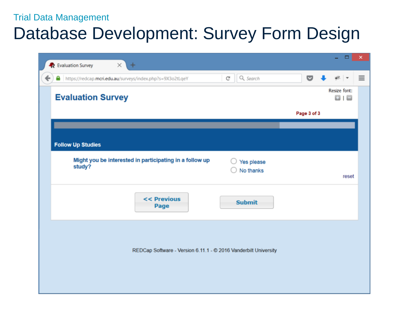## Database Development: Survey Form Design

| R Evaluation Survey<br>$\times$<br>$\pm$                          |                            |             | $\Box$                | ×        |
|-------------------------------------------------------------------|----------------------------|-------------|-----------------------|----------|
| ←<br>https://redcap.mcri.edu.au/surveys/index.php?s=9X3o2tLqeY    | Q Search<br>$\mathbb{C}^l$ | ତ           |                       | $\equiv$ |
| <b>Evaluation Survey</b>                                          |                            |             | Resize font:<br>8 I E |          |
|                                                                   |                            | Page 3 of 3 |                       |          |
|                                                                   |                            |             |                       |          |
| <b>Follow Up Studies</b>                                          |                            |             |                       |          |
| Might you be interested in participating in a follow up<br>study? | Yes please<br>No thanks    |             | reset                 |          |
| << Previous<br>Page                                               | <b>Submit</b>              |             |                       |          |
| REDCap Software - Version 6.11.1 - © 2016 Vanderbilt University   |                            |             |                       |          |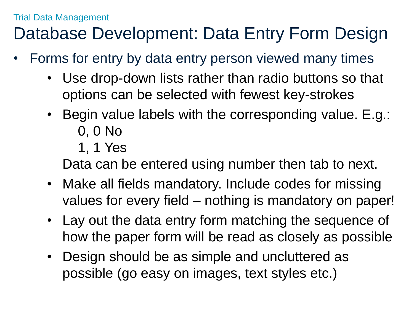## Database Development: Data Entry Form Design

- Forms for entry by data entry person viewed many times
	- Use drop-down lists rather than radio buttons so that options can be selected with fewest key-strokes
	- Begin value labels with the corresponding value. E.g.: 0, 0 No
		- 1, 1 Yes

Data can be entered using number then tab to next.

- Make all fields mandatory. Include codes for missing values for every field – nothing is mandatory on paper!
- Lay out the data entry form matching the sequence of how the paper form will be read as closely as possible
- Design should be as simple and uncluttered as possible (go easy on images, text styles etc.)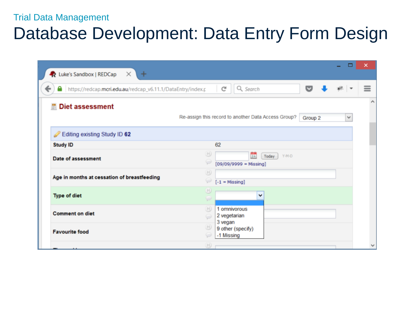## Database Development: Data Entry Form Design

| R Luke's Sandbox   REDCap X<br>٠                                 |                                                                                                                             | □ | ×        |
|------------------------------------------------------------------|-----------------------------------------------------------------------------------------------------------------------------|---|----------|
| https://redcap.mcri.edu.au/redcap_v6.11.1/DataEntry/index.p<br>- | ▽<br>Q Search<br>C                                                                                                          |   | $\equiv$ |
| <b>Diet assessment</b>                                           | Re-assign this record to another Data Access Group?<br>Group 2                                                              | v | ∧        |
| Editing existing Study ID 62                                     |                                                                                                                             |   |          |
| <b>Study ID</b>                                                  | 62                                                                                                                          |   |          |
| Date of assessment                                               | ⊕<br>$\frac{1}{31}$<br>Y-M-D<br>Today<br>w<br>$[09/09/9999 = Missing]$                                                      |   |          |
| Age in months at cessation of breastfeeding                      | $\boxplus$<br>w<br>$[-1 = Missing]$                                                                                         |   |          |
| <b>Type of diet</b>                                              | H<br>◡<br>s                                                                                                                 |   |          |
| <b>Comment on diet</b>                                           | 1 omnivorous<br>(H)<br>2 vegetarian<br>⊝<br>3 vegan                                                                         |   |          |
| <b>Favourite food</b>                                            | $\begin{array}{c} \begin{array}{c} \begin{array}{c} \end{array} \end{array} \end{array}$<br>9 other (specify)<br>-1 Missing |   |          |
|                                                                  | H)                                                                                                                          |   |          |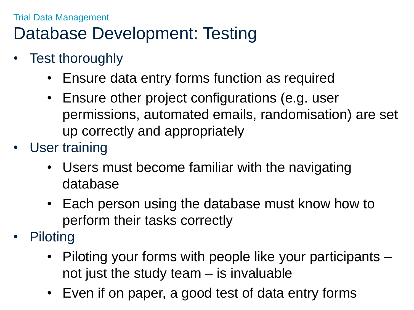## Trial Data Management Database Development: Testing

- Test thoroughly
	- Ensure data entry forms function as required
	- Ensure other project configurations (e.g. user permissions, automated emails, randomisation) are set up correctly and appropriately
- User training
	- Users must become familiar with the navigating database
	- Each person using the database must know how to perform their tasks correctly
- **Piloting** 
	- Piloting your forms with people like your participants not just the study team – is invaluable
	- Even if on paper, a good test of data entry forms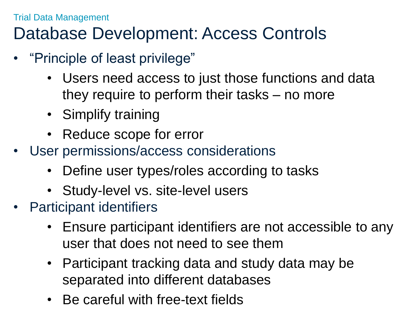## Database Development: Access Controls

- "Principle of least privilege"
	- Users need access to just those functions and data they require to perform their tasks – no more
	- Simplify training
	- Reduce scope for error
- User permissions/access considerations
	- Define user types/roles according to tasks
	- Study-level vs. site-level users
- Participant identifiers
	- Ensure participant identifiers are not accessible to any user that does not need to see them
	- Participant tracking data and study data may be separated into different databases
	- Be careful with free-text fields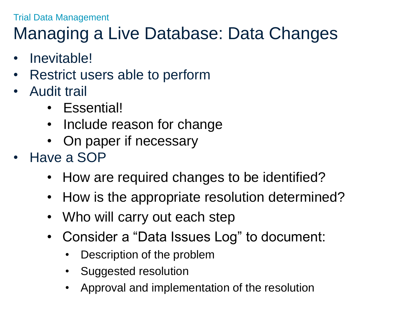## Managing a Live Database: Data Changes

- Inevitable!
- Restrict users able to perform
- Audit trail
	- Essential!
	- Include reason for change
	- On paper if necessary
- Have a SOP
	- How are required changes to be identified?
	- How is the appropriate resolution determined?
	- Who will carry out each step
	- Consider a "Data Issues Log" to document:
		- Description of the problem
		- Suggested resolution
		- Approval and implementation of the resolution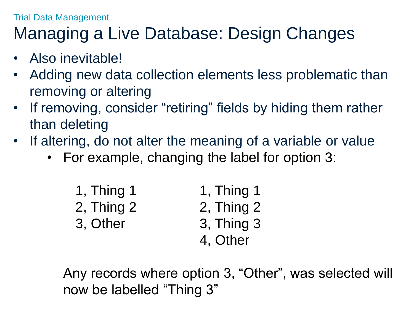## Managing a Live Database: Design Changes

- Also inevitable!
- Adding new data collection elements less problematic than removing or altering
- If removing, consider "retiring" fields by hiding them rather than deleting
- If altering, do not alter the meaning of a variable or value
	- For example, changing the label for option 3:

| $1,$ Thing 1 | 1, Thing 1     |
|--------------|----------------|
| 2, Thing 2   | $2,$ Thing $2$ |
| 3, Other     | 3, Thing 3     |
|              | 4. Other       |

Any records where option 3, "Other", was selected will now be labelled "Thing 3"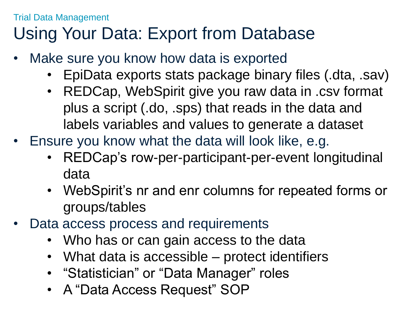## Using Your Data: Export from Database

- Make sure you know how data is exported
	- EpiData exports stats package binary files (.dta, .sav)
	- REDCap, WebSpirit give you raw data in .csv format plus a script (.do, .sps) that reads in the data and labels variables and values to generate a dataset
- Ensure you know what the data will look like, e.g.
	- REDCap's row-per-participant-per-event longitudinal data
	- WebSpirit's nr and enr columns for repeated forms or groups/tables
- Data access process and requirements
	- Who has or can gain access to the data
	- What data is accessible protect identifiers
	- "Statistician" or "Data Manager" roles
	- A "Data Access Request" SOP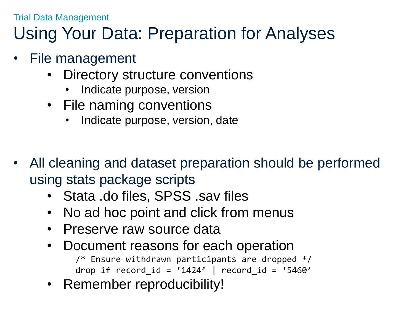## Using Your Data: Preparation for Analyses

- File management
	- Directory structure conventions
		- Indicate purpose, version
	- File naming conventions
		- Indicate purpose, version, date
- All cleaning and dataset preparation should be performed using stats package scripts
	- Stata .do files, SPSS .sav files
	- No ad hoc point and click from menus
	- Preserve raw source data
	- Document reasons for each operation /\* Ensure withdrawn participants are dropped \*/ drop if record id = '1424' | record id = '5460'
	- Remember reproducibility!